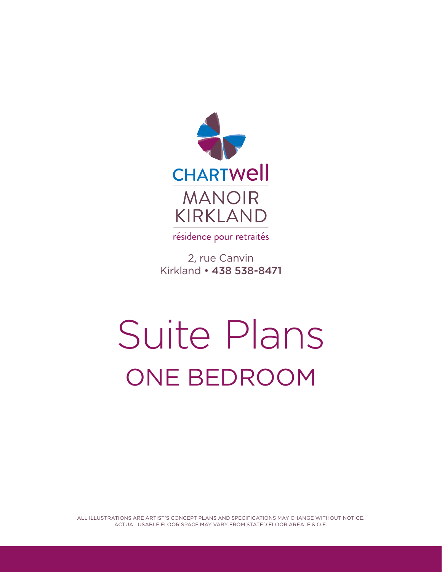

résidence pour retraités

2, rue Canvin Kirkland • 438 538-8471

## Suite Plans ONE BEDROOM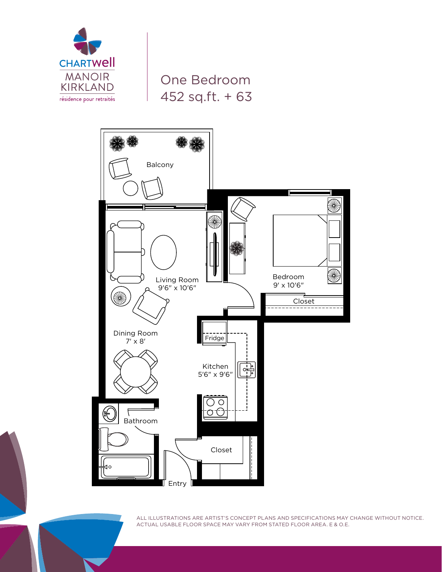

One Bedroom 452 sq.ft. + 63

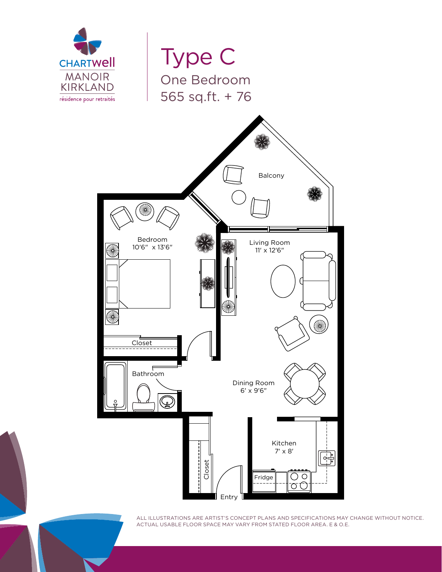

Type C One Bedroom 565 sq.ft. + 76

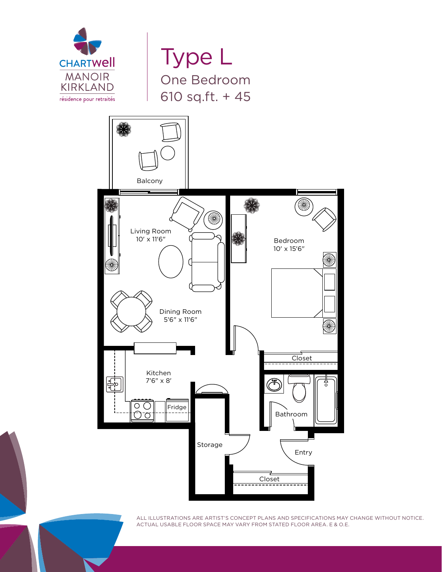

Type L One Bedroom 610 sq.ft. + 45

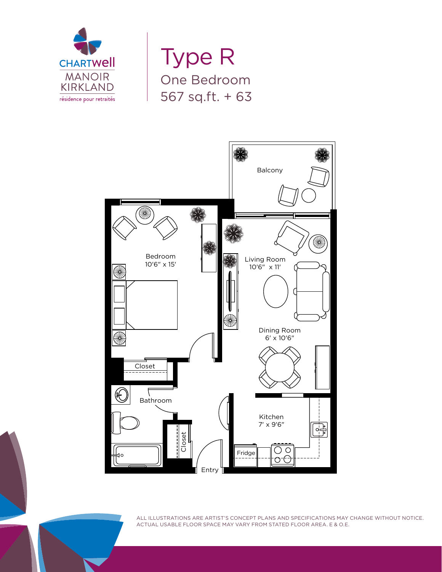

Type R One Bedroom 567 sq.ft. + 63